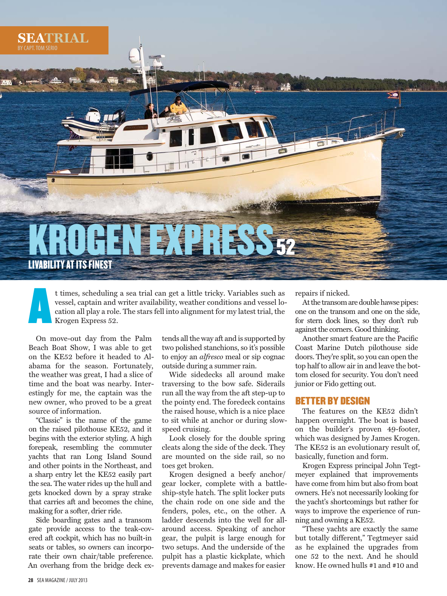

A t times, scheduling a sea trial can get a little tricky. Variables such as vessel, captain and writer availability, weather conditions and vessel location all play a role. The stars fell into alignment for my latest trial, the Krogen Express 52.

 On move-out day from the Palm Beach Boat Show, I was able to get on the KE52 before it headed to Alabama for the season. Fortunately, the weather was great, I had a slice of time and the boat was nearby. Interestingly for me, the captain was the new owner, who proved to be a great source of information.

 "Classic" is the name of the game on the raised pilothouse KE52, and it begins with the exterior styling. A high forepeak, resembling the commuter yachts that ran Long Island Sound and other points in the Northeast, and a sharp entry let the KE52 easily part the sea. The water rides up the hull and gets knocked down by a spray strake that carries aft and becomes the chine, making for a softer, drier ride.

 Side boarding gates and a transom gate provide access to the teak-covered aft cockpit, which has no built-in seats or tables, so owners can incorporate their own chair/table preference. An overhang from the bridge deck extends all the way aft and is supported by two polished stanchions, so it's possible to enjoy an *alfresco* meal or sip cognac outside during a summer rain.

 Wide sidedecks all around make traversing to the bow safe. Siderails run all the way from the aft step-up to the pointy end. The foredeck contains the raised house, which is a nice place to sit while at anchor or during slowspeed cruising.

 Look closely for the double spring cleats along the side of the deck. They are mounted on the side rail, so no toes get broken.

 Krogen designed a beefy anchor/ gear locker, complete with a battleship-style hatch. The split locker puts the chain rode on one side and the fenders, poles, etc., on the other. A ladder descends into the well for allaround access. Speaking of anchor gear, the pulpit is large enough for two setups. And the underside of the pulpit has a plastic kickplate, which prevents damage and makes for easier

repairs if nicked.

 At the transom are double hawse pipes: one on the transom and one on the side, for stern dock lines, so they don't rub against the corners. Good thinking.

Another smart feature are the Pacific Coast Marine Dutch pilothouse side doors. They're split, so you can open the top half to allow air in and leave the bottom closed for security. You don't need junior or Fido getting out.

# BETTER BY DESIGN

 The features on the KE52 didn't happen overnight. The boat is based on the builder's proven 49-footer, which was designed by James Krogen. The KE52 is an evolutionary result of, basically, function and form.

 Krogen Express principal John Tegtmeyer explained that improvements have come from him but also from boat owners. He's not necessarily looking for the yacht's shortcomings but rather for ways to improve the experience of running and owning a KE52.

 "These yachts are exactly the same but totally different," Tegtmeyer said as he explained the upgrades from one 52 to the next. And he should know. He owned hulls #1 and #10 and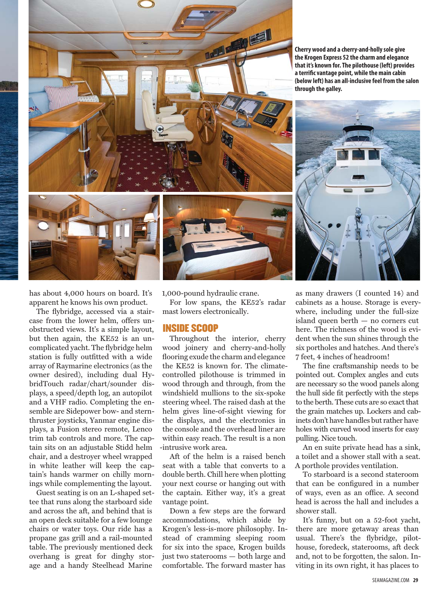

**Cherry wood and a cherry-and-holly sole give the Krogen Express 52 the charm and elegance that it's known for. The pilothouse (left) provides**  a terrific vantage point, while the main cabin **(below left) has an all-inclusive feel from the salon through the galley.**





has about 4,000 hours on board. It's apparent he knows his own product.

The flybridge, accessed via a staircase from the lower helm, offers unobstructed views. It's a simple layout, but then again, the KE52 is an uncomplicated yacht. The flybridge helm station is fully outfitted with a wide array of Raymarine electronics (as the owner desired), including dual HybridTouch radar/chart/sounder displays, a speed/depth log, an autopilot and a VHF radio. Completing the ensemble are Sidepower bow- and sternthruster joysticks, Yanmar engine displays, a Fusion stereo remote, Lenco trim tab controls and more. The captain sits on an adjustable Stidd helm chair, and a destroyer wheel wrapped in white leather will keep the captain's hands warmer on chilly mornings while complementing the layout.

 Guest seating is on an L-shaped settee that runs along the starboard side and across the aft, and behind that is an open deck suitable for a few lounge chairs or water toys. Our ride has a propane gas grill and a rail-mounted table. The previously mentioned deck overhang is great for dinghy storage and a handy Steelhead Marine

1,000-pound hydraulic crane.

 For low spans, the KE52's radar mast lowers electronically.

## INSIDE SCOOP

 Throughout the interior, cherry wood joinery and cherry-and-holly flooring exude the charm and elegance the KE52 is known for. The climatecontrolled pilothouse is trimmed in wood through and through, from the windshield mullions to the six-spoke steering wheel. The raised dash at the helm gives line-of-sight viewing for the displays, and the electronics in the console and the overhead liner are within easy reach. The result is a non -intrusive work area.

 Aft of the helm is a raised bench seat with a table that converts to a double berth. Chill here when plotting your next course or hanging out with the captain. Either way, it's a great vantage point.

 Down a few steps are the forward accommodations, which abide by Krogen's less-is-more philosophy. Instead of cramming sleeping room for six into the space, Krogen builds just two staterooms — both large and comfortable. The forward master has

as many drawers (I counted 14) and cabinets as a house. Storage is everywhere, including under the full-size island queen berth — no corners cut here. The richness of the wood is evident when the sun shines through the six portholes and hatches. And there's 7 feet, 4 inches of headroom!

The fine craftsmanship needs to be pointed out. Complex angles and cuts are necessary so the wood panels along the hull side fit perfectly with the steps to the berth. These cuts are so exact that the grain matches up. Lockers and cabinets don't have handles but rather have holes with curved wood inserts for easy pulling. Nice touch.

 An en suite private head has a sink, a toilet and a shower stall with a seat. A porthole provides ventilation.

 To starboard is a second stateroom that can be configured in a number of ways, even as an office. A second head is across the hall and includes a shower stall.

 It's funny, but on a 52-foot yacht, there are more getaway areas than usual. There's the flybridge, pilothouse, foredeck, staterooms, aft deck and, not to be forgotten, the salon. Inviting in its own right, it has places to